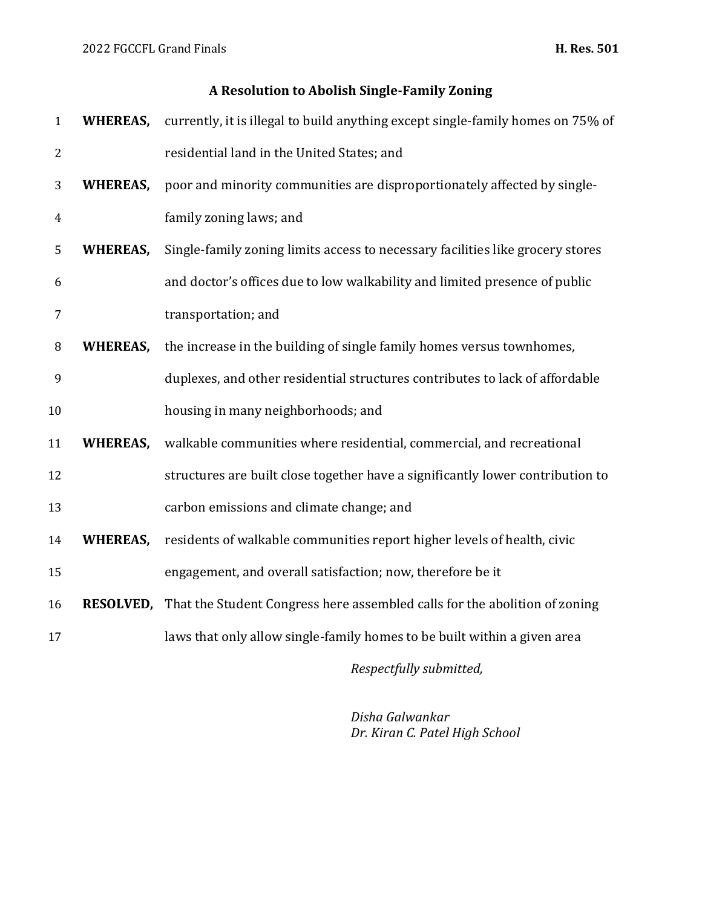## **A Resolution to Abolish Single-Family Zoning**

| $\mathbf{1}$   | <b>WHEREAS,</b> | currently, it is illegal to build anything except single-family homes on 75% of      |
|----------------|-----------------|--------------------------------------------------------------------------------------|
| $\overline{2}$ |                 | residential land in the United States; and                                           |
| 3              | <b>WHEREAS,</b> | poor and minority communities are disproportionately affected by single-             |
| 4              |                 | family zoning laws; and                                                              |
| 5              | <b>WHEREAS,</b> | Single-family zoning limits access to necessary facilities like grocery stores       |
| 6              |                 | and doctor's offices due to low walkability and limited presence of public           |
| 7              |                 | transportation; and                                                                  |
| 8              | <b>WHEREAS,</b> | the increase in the building of single family homes versus townhomes,                |
| 9              |                 | duplexes, and other residential structures contributes to lack of affordable         |
| 10             |                 | housing in many neighborhoods; and                                                   |
| 11             | <b>WHEREAS,</b> | walkable communities where residential, commercial, and recreational                 |
| 12             |                 | structures are built close together have a significantly lower contribution to       |
| 13             |                 | carbon emissions and climate change; and                                             |
| 14             | <b>WHEREAS,</b> | residents of walkable communities report higher levels of health, civic              |
| 15             |                 | engagement, and overall satisfaction; now, therefore be it                           |
| 16             |                 | RESOLVED, That the Student Congress here assembled calls for the abolition of zoning |
| 17             |                 | laws that only allow single-family homes to be built within a given area             |
|                |                 |                                                                                      |

*Respectfully submitted,*

*Disha Galwankar Dr. Kiran C. Patel High School*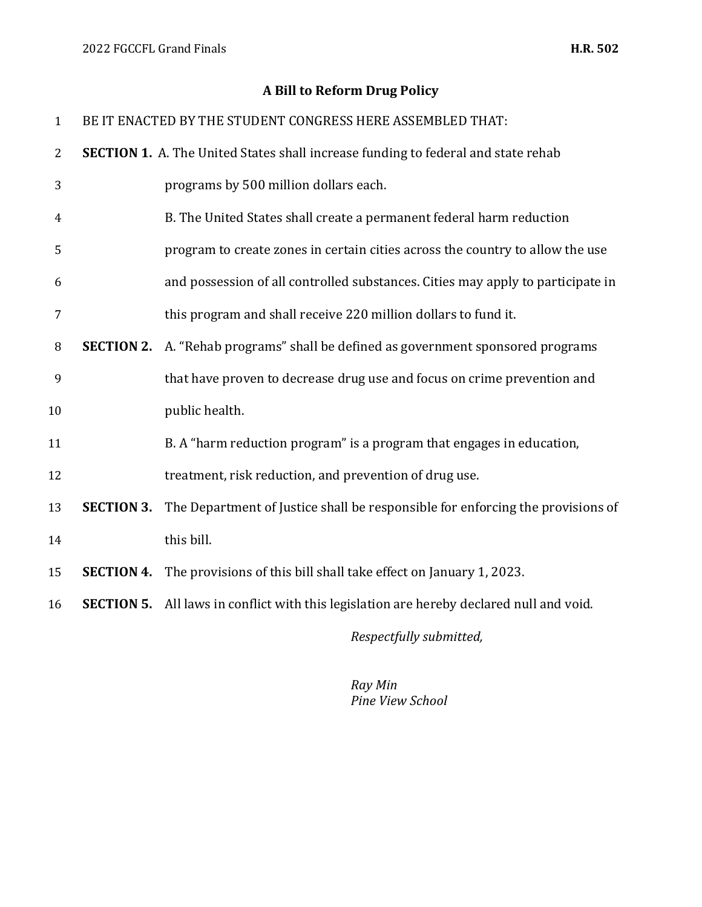## **A Bill to Reform Drug Policy**

| $\mathbf{1}$ |                   | BE IT ENACTED BY THE STUDENT CONGRESS HERE ASSEMBLED THAT:                                      |
|--------------|-------------------|-------------------------------------------------------------------------------------------------|
| 2            |                   | <b>SECTION 1.</b> A. The United States shall increase funding to federal and state rehab        |
| 3            |                   | programs by 500 million dollars each.                                                           |
| 4            |                   | B. The United States shall create a permanent federal harm reduction                            |
| 5            |                   | program to create zones in certain cities across the country to allow the use                   |
| 6            |                   | and possession of all controlled substances. Cities may apply to participate in                 |
| 7            |                   | this program and shall receive 220 million dollars to fund it.                                  |
| 8            | <b>SECTION 2.</b> | A. "Rehab programs" shall be defined as government sponsored programs                           |
| 9            |                   | that have proven to decrease drug use and focus on crime prevention and                         |
| 10           |                   | public health.                                                                                  |
| 11           |                   | B. A "harm reduction program" is a program that engages in education,                           |
| 12           |                   | treatment, risk reduction, and prevention of drug use.                                          |
| 13           | <b>SECTION 3.</b> | The Department of Justice shall be responsible for enforcing the provisions of                  |
| 14           |                   | this bill.                                                                                      |
| 15           | <b>SECTION 4.</b> | The provisions of this bill shall take effect on January 1, 2023.                               |
| 16           |                   | <b>SECTION 5.</b> All laws in conflict with this legislation are hereby declared null and void. |
|              |                   | Respectfully submitted,                                                                         |

*Ray Min Pine View School*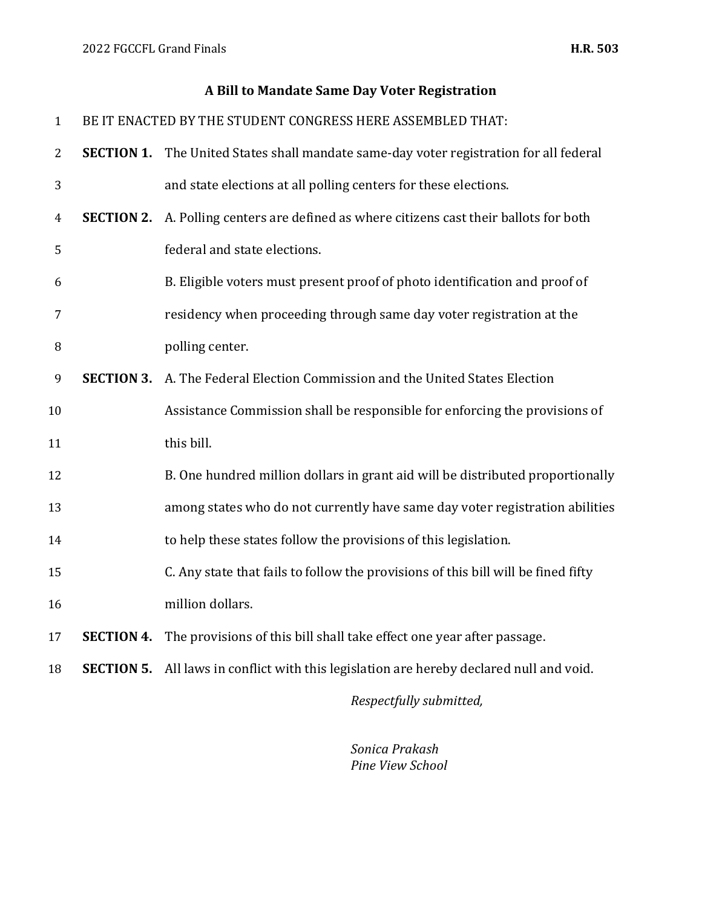#### **A Bill to Mandate Same Day Voter Registration**

BE IT ENACTED BY THE STUDENT CONGRESS HERE ASSEMBLED THAT:

|  | <b>SECTION 1.</b> The United States shall mandate same-day voter registration for all federal |
|--|-----------------------------------------------------------------------------------------------|
|  | and state elections at all polling centers for these elections.                               |

- **SECTION 2.** A. Polling centers are defined as where citizens cast their ballots for both federal and state elections.
- B. Eligible voters must present proof of photo identification and proof of
- residency when proceeding through same day voter registration at the

polling center.

- **SECTION 3.** A. The Federal Election Commission and the United States Election
- Assistance Commission shall be responsible for enforcing the provisions of 11 this bill.
- B. One hundred million dollars in grant aid will be distributed proportionally
- among states who do not currently have same day voter registration abilities
- to help these states follow the provisions of this legislation.
- C. Any state that fails to follow the provisions of this bill will be fined fifty million dollars.
- **SECTION 4.** The provisions of this bill shall take effect one year after passage.
- **SECTION 5.** All laws in conflict with this legislation are hereby declared null and void.

*Respectfully submitted,*

*Sonica Prakash Pine View School*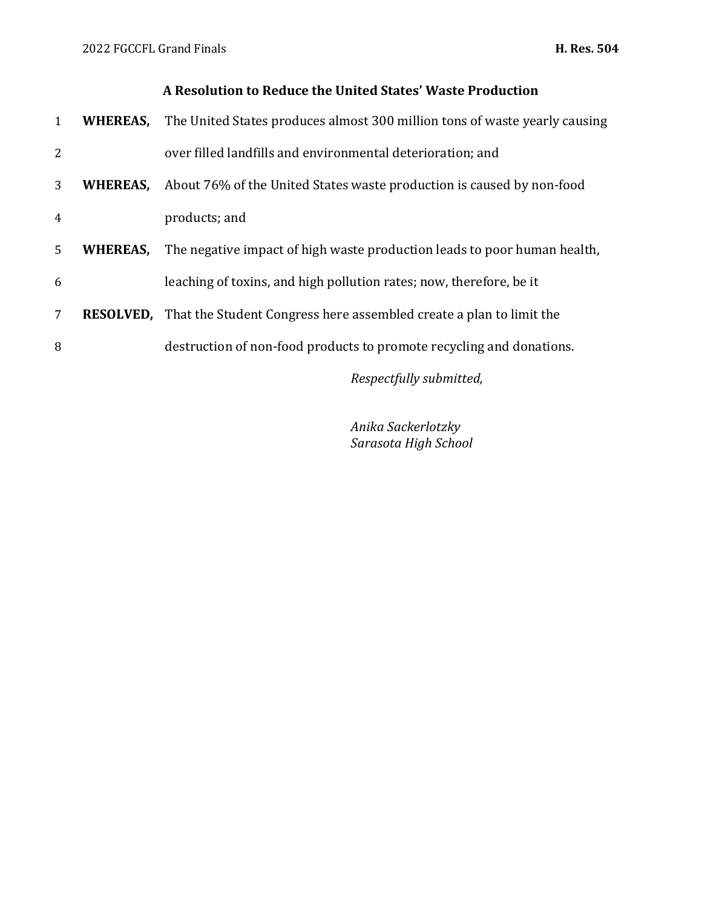### **A Resolution to Reduce the United States' Waste Production**

| $\mathbf{1}$ | WHEREAS,        | The United States produces almost 300 million tons of waste yearly causing           |
|--------------|-----------------|--------------------------------------------------------------------------------------|
| 2            |                 | over filled landfills and environmental deterioration; and                           |
| 3            | <b>WHEREAS,</b> | About 76% of the United States waste production is caused by non-food                |
| 4            |                 | products; and                                                                        |
| 5            | WHEREAS,        | The negative impact of high waste production leads to poor human health,             |
| 6            |                 | leaching of toxins, and high pollution rates; now, therefore, be it                  |
| 7            |                 | <b>RESOLVED.</b> That the Student Congress here assembled create a plan to limit the |
| 8            |                 | destruction of non-food products to promote recycling and donations.                 |
|              |                 |                                                                                      |

*Respectfully submitted,*

*Anika Sackerlotzky Sarasota High School*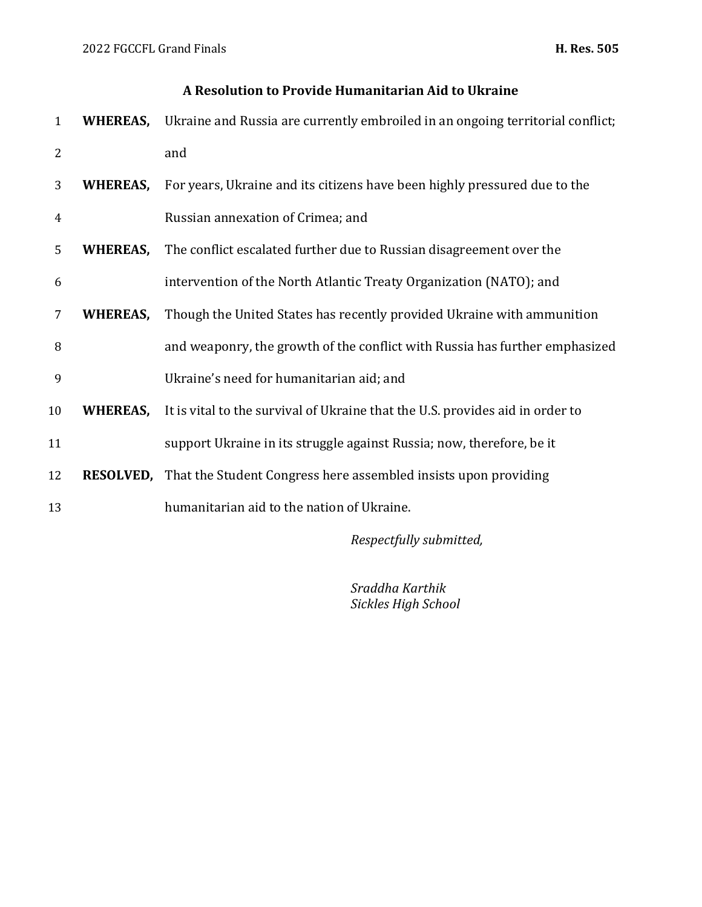#### **A Resolution to Provide Humanitarian Aid to Ukraine**

 **WHEREAS,** Ukraine and Russia are currently embroiled in an ongoing territorial conflict; and **WHEREAS,** For years, Ukraine and its citizens have been highly pressured due to the

Russian annexation of Crimea; and

- **WHEREAS,** The conflict escalated further due to Russian disagreement over the
- intervention of the North Atlantic Treaty Organization (NATO); and
- **WHEREAS,** Though the United States has recently provided Ukraine with ammunition
- and weaponry, the growth of the conflict with Russia has further emphasized
- Ukraine's need for humanitarian aid; and
- **WHEREAS,** It is vital to the survival of Ukraine that the U.S. provides aid in order to
- support Ukraine in its struggle against Russia; now, therefore, be it
- **RESOLVED,** That the Student Congress here assembled insists upon providing
- humanitarian aid to the nation of Ukraine.

*Respectfully submitted,*

*Sraddha Karthik Sickles High School*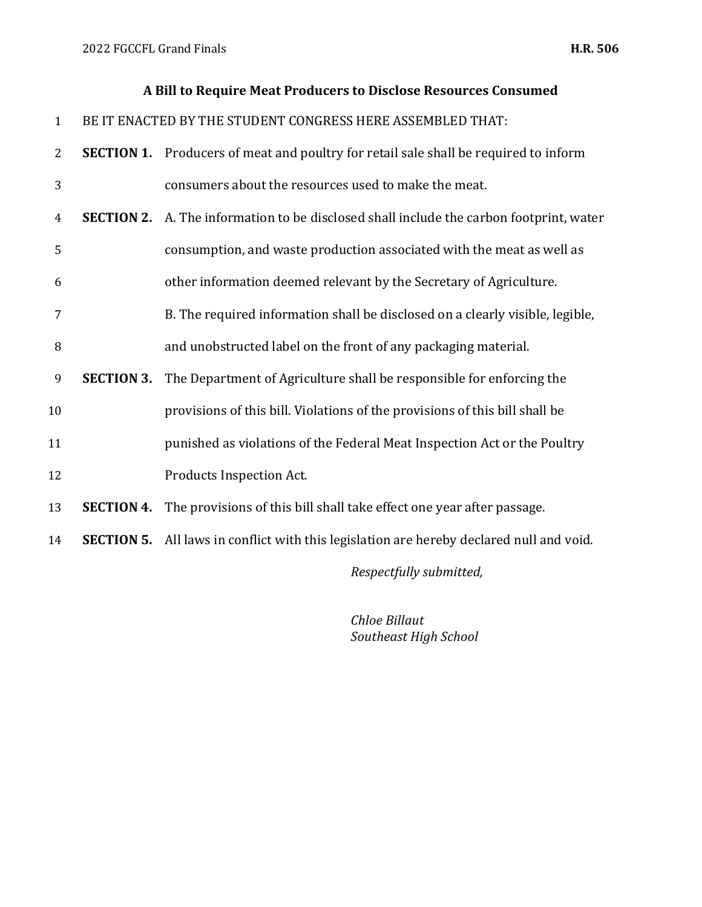#### **A Bill to Require Meat Producers to Disclose Resources Consumed**

BE IT ENACTED BY THE STUDENT CONGRESS HERE ASSEMBLED THAT:

- **SECTION 1.** Producers of meat and poultry for retail sale shall be required to inform consumers about the resources used to make the meat.
- **SECTION 2.** A. The information to be disclosed shall include the carbon footprint, water
- consumption, and waste production associated with the meat as well as
- other information deemed relevant by the Secretary of Agriculture.
- B. The required information shall be disclosed on a clearly visible, legible,
- and unobstructed label on the front of any packaging material.
- **SECTION 3.** The Department of Agriculture shall be responsible for enforcing the
- provisions of this bill. Violations of the provisions of this bill shall be
- **punished as violations of the Federal Meat Inspection Act or the Poultry**
- Products Inspection Act.
- **SECTION 4.** The provisions of this bill shall take effect one year after passage.
- **SECTION 5.** All laws in conflict with this legislation are hereby declared null and void.

*Respectfully submitted,*

*Chloe Billaut Southeast High School*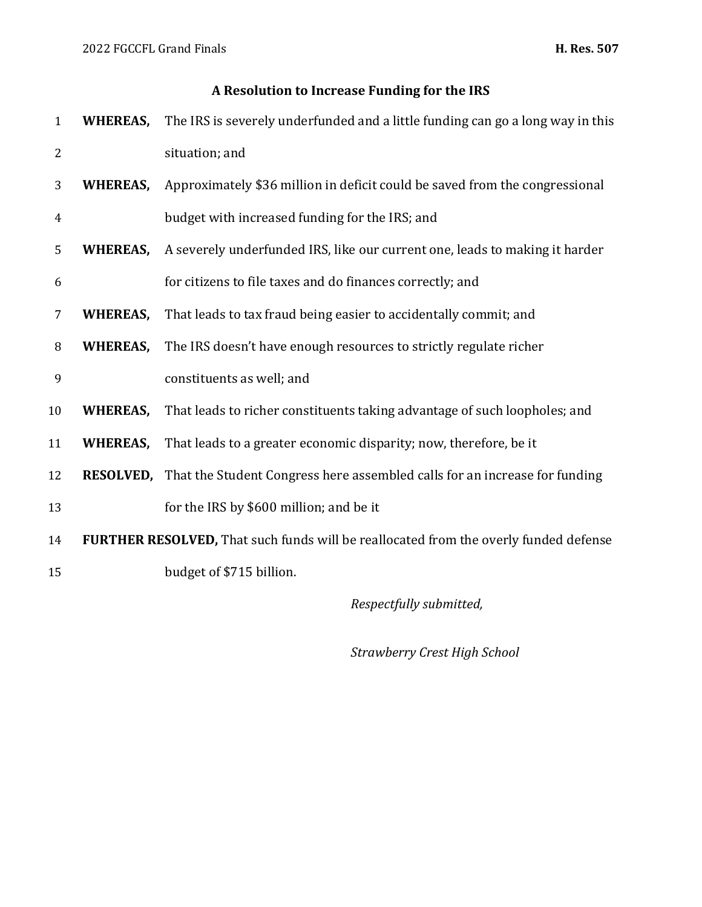## **A Resolution to Increase Funding for the IRS**

| $\mathbf{1}$ | <b>WHEREAS,</b> | The IRS is severely underfunded and a little funding can go a long way in this       |
|--------------|-----------------|--------------------------------------------------------------------------------------|
| 2            |                 | situation; and                                                                       |
| 3            | <b>WHEREAS,</b> | Approximately \$36 million in deficit could be saved from the congressional          |
| 4            |                 | budget with increased funding for the IRS; and                                       |
| 5            | WHEREAS,        | A severely underfunded IRS, like our current one, leads to making it harder          |
| 6            |                 | for citizens to file taxes and do finances correctly; and                            |
| 7            | <b>WHEREAS,</b> | That leads to tax fraud being easier to accidentally commit; and                     |
| 8            | <b>WHEREAS,</b> | The IRS doesn't have enough resources to strictly regulate richer                    |
| 9            |                 | constituents as well; and                                                            |
| 10           | WHEREAS,        | That leads to richer constituents taking advantage of such loopholes; and            |
| 11           | WHEREAS,        | That leads to a greater economic disparity; now, therefore, be it                    |
| 12           |                 | RESOLVED, That the Student Congress here assembled calls for an increase for funding |
| 13           |                 | for the IRS by \$600 million; and be it                                              |
| 14           |                 | FURTHER RESOLVED, That such funds will be reallocated from the overly funded defense |
| 15           |                 | budget of \$715 billion.                                                             |
|              |                 |                                                                                      |

*Respectfully submitted,*

*Strawberry Crest High School*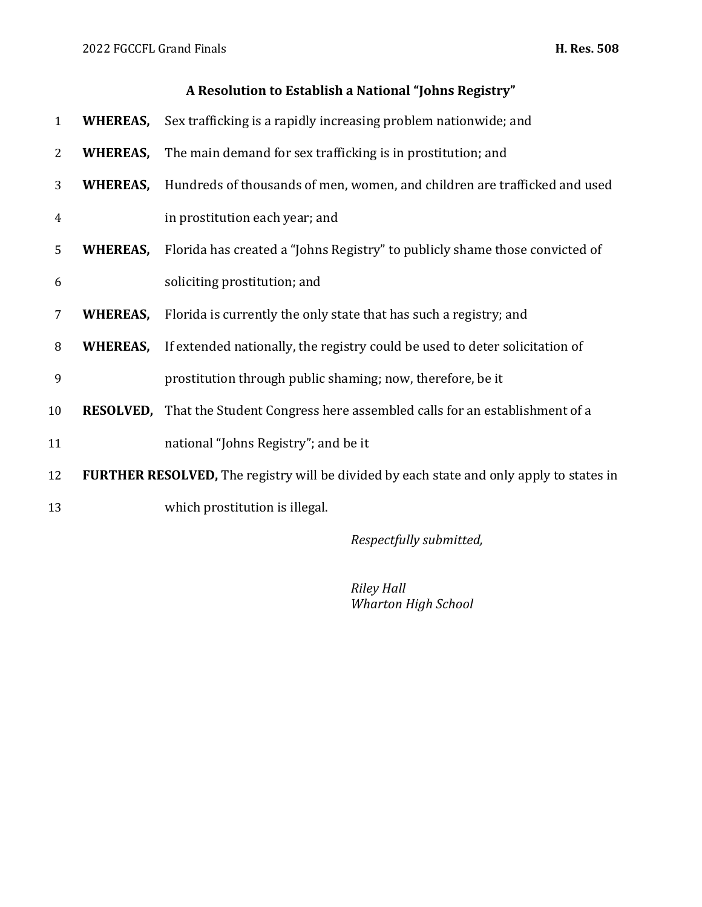## **A Resolution to Establish a National "Johns Registry"**

| $\mathbf{1}$   |                 | <b>WHEREAS,</b> Sex trafficking is a rapidly increasing problem nationwide; and             |
|----------------|-----------------|---------------------------------------------------------------------------------------------|
| $\overline{2}$ |                 | <b>WHEREAS,</b> The main demand for sex trafficking is in prostitution; and                 |
| 3              | <b>WHEREAS,</b> | Hundreds of thousands of men, women, and children are trafficked and used                   |
| $\overline{4}$ |                 | in prostitution each year; and                                                              |
| 5              |                 | <b>WHEREAS,</b> Florida has created a "Johns Registry" to publicly shame those convicted of |
| 6              |                 | soliciting prostitution; and                                                                |
| 7              | WHEREAS,        | Florida is currently the only state that has such a registry; and                           |
| 8              |                 | <b>WHEREAS,</b> If extended nationally, the registry could be used to deter solicitation of |
| 9              |                 | prostitution through public shaming; now, therefore, be it                                  |
| 10             |                 | <b>RESOLVED</b> , That the Student Congress here assembled calls for an establishment of a  |
| 11             |                 | national "Johns Registry"; and be it                                                        |
| 12             |                 | FURTHER RESOLVED, The registry will be divided by each state and only apply to states in    |
| 13             |                 | which prostitution is illegal.                                                              |

*Respectfully submitted,*

*Riley Hall Wharton High School*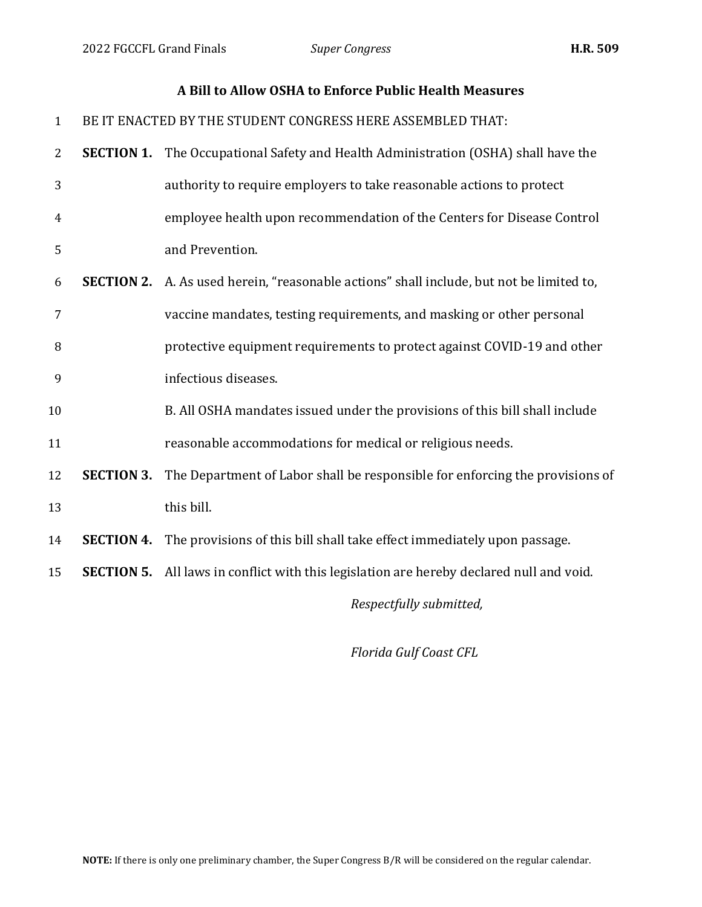### **A Bill to Allow OSHA to Enforce Public Health Measures**

BE IT ENACTED BY THE STUDENT CONGRESS HERE ASSEMBLED THAT:

| 2  | <b>SECTION 1.</b> | The Occupational Safety and Health Administration (OSHA) shall have the       |
|----|-------------------|-------------------------------------------------------------------------------|
| 3  |                   | authority to require employers to take reasonable actions to protect          |
| 4  |                   | employee health upon recommendation of the Centers for Disease Control        |
| 5  |                   | and Prevention.                                                               |
| 6  | <b>SECTION 2.</b> | A. As used herein, "reasonable actions" shall include, but not be limited to, |
| 7  |                   | vaccine mandates, testing requirements, and masking or other personal         |
| 8  |                   | protective equipment requirements to protect against COVID-19 and other       |
| 9  |                   | infectious diseases.                                                          |
| 10 |                   | B. All OSHA mandates issued under the provisions of this bill shall include   |
| 11 |                   | reasonable accommodations for medical or religious needs.                     |
| 12 | <b>SECTION 3.</b> | The Department of Labor shall be responsible for enforcing the provisions of  |
| 13 |                   | this bill.                                                                    |
| 14 | <b>SECTION 4.</b> | The provisions of this bill shall take effect immediately upon passage.       |
| 15 | <b>SECTION 5.</b> | All laws in conflict with this legislation are hereby declared null and void. |
|    |                   | Respectfully submitted,                                                       |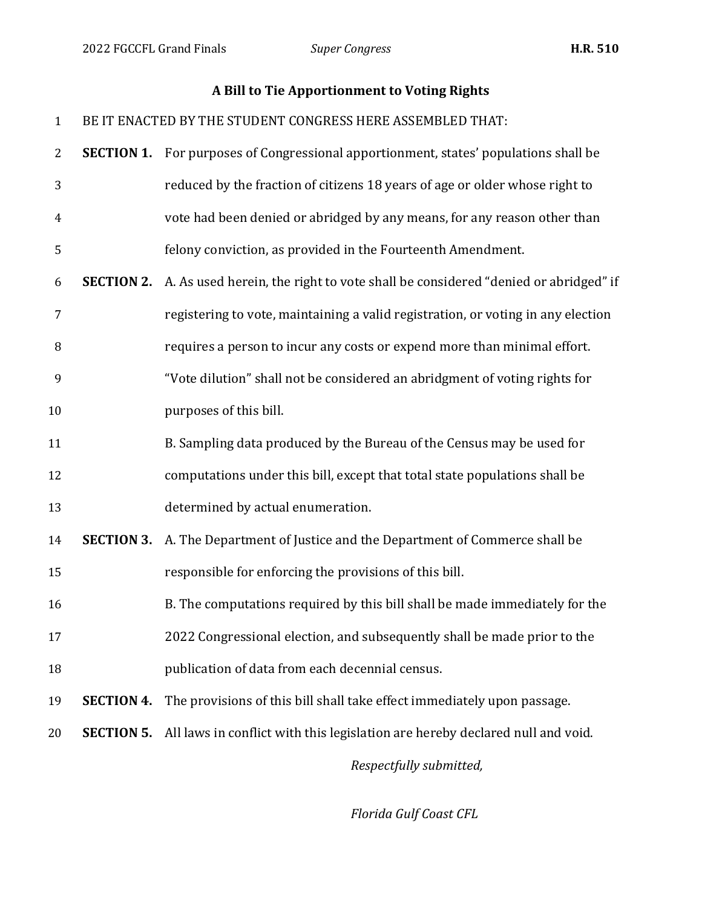#### **A Bill to Tie Apportionment to Voting Rights**

BE IT ENACTED BY THE STUDENT CONGRESS HERE ASSEMBLED THAT:

- **SECTION 1.** For purposes of Congressional apportionment, states' populations shall be reduced by the fraction of citizens 18 years of age or older whose right to vote had been denied or abridged by any means, for any reason other than felony conviction, as provided in the Fourteenth Amendment.
- **SECTION 2.** A. As used herein, the right to vote shall be considered "denied or abridged" if registering to vote, maintaining a valid registration, or voting in any election
- requires a person to incur any costs or expend more than minimal effort.
- "Vote dilution" shall not be considered an abridgment of voting rights for **purposes of this bill.**
- B. Sampling data produced by the Bureau of the Census may be used for computations under this bill, except that total state populations shall be determined by actual enumeration.
- **SECTION 3.** A. The Department of Justice and the Department of Commerce shall be responsible for enforcing the provisions of this bill.
- B. The computations required by this bill shall be made immediately for the 2022 Congressional election, and subsequently shall be made prior to the publication of data from each decennial census.
- **SECTION 4.** The provisions of this bill shall take effect immediately upon passage.
- **SECTION 5.** All laws in conflict with this legislation are hereby declared null and void.

*Respectfully submitted,*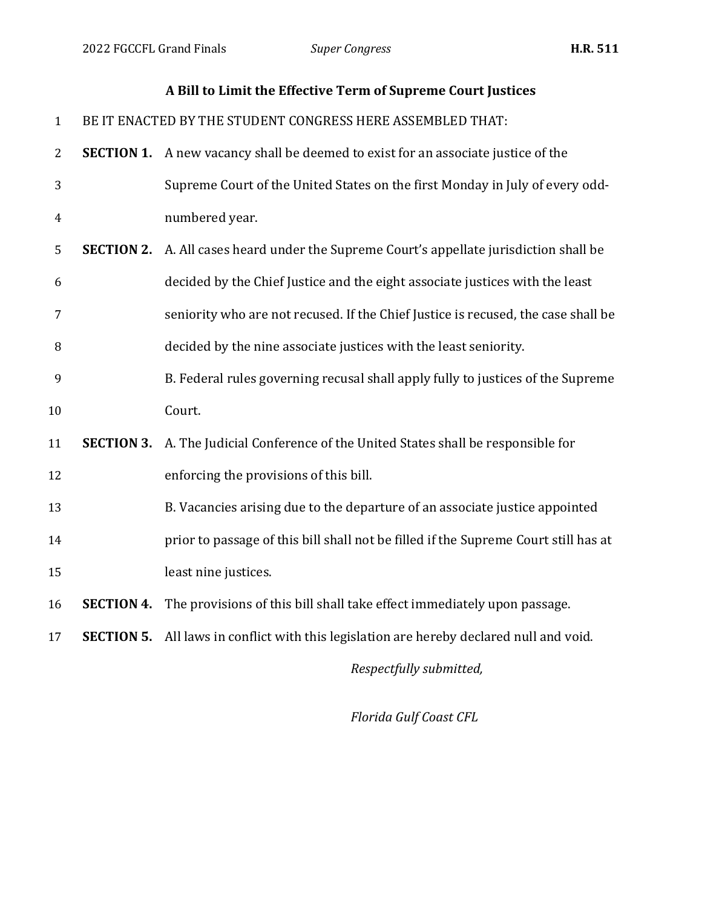# **A Bill to Limit the Effective Term of Supreme Court Justices** BE IT ENACTED BY THE STUDENT CONGRESS HERE ASSEMBLED THAT: **SECTION 1.** A new vacancy shall be deemed to exist for an associate justice of the Supreme Court of the United States on the first Monday in July of every odd- numbered year. **SECTION 2.** A. All cases heard under the Supreme Court's appellate jurisdiction shall be decided by the Chief Justice and the eight associate justices with the least seniority who are not recused. If the Chief Justice is recused, the case shall be decided by the nine associate justices with the least seniority. B. Federal rules governing recusal shall apply fully to justices of the Supreme Court. **SECTION 3.** A. The Judicial Conference of the United States shall be responsible for enforcing the provisions of this bill. B. Vacancies arising due to the departure of an associate justice appointed **prior to passage of this bill shall not be filled if the Supreme Court still has at**  least nine justices. **SECTION 4.** The provisions of this bill shall take effect immediately upon passage. **SECTION 5.** All laws in conflict with this legislation are hereby declared null and void. *Respectfully submitted,*